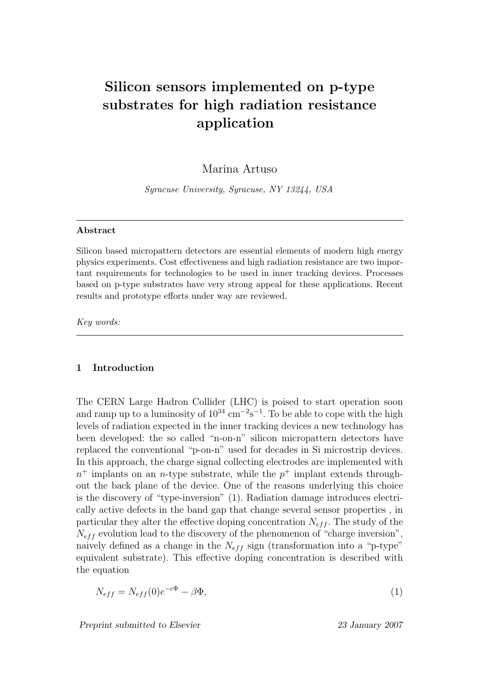# Silicon sensors implemented on p-type substrates for high radiation resistance application

# Marina Artuso

Syracuse University, Syracuse, NY 13244, USA

#### Abstract

Silicon based micropattern detectors are essential elements of modern high energy physics experiments. Cost effectiveness and high radiation resistance are two important requirements for technologies to be used in inner tracking devices. Processes based on p-type substrates have very strong appeal for these applications. Recent results and prototype efforts under way are reviewed.

Key words:

## 1 Introduction

The CERN Large Hadron Collider (LHC) is poised to start operation soon and ramp up to a luminosity of  $10^{34}$  cm<sup>-2</sup>s<sup>-1</sup>. To be able to cope with the high levels of radiation expected in the inner tracking devices a new technology has been developed: the so called "n-on-n" silicon micropattern detectors have replaced the conventional "p-on-n" used for decades in Si microstrip devices. In this approach, the charge signal collecting electrodes are implemented with  $n^+$  implants on an *n*-type substrate, while the  $p^+$  implant extends throughout the back plane of the device. One of the reasons underlying this choice is the discovery of "type-inversion" (1). Radiation damage introduces electrically active defects in the band gap that change several sensor properties , in particular they alter the effective doping concentration  $N_{eff}$ . The study of the  $N_{\text{eff}}$  evolution lead to the discovery of the phenomenon of "charge inversion", naively defined as a change in the  $N_{eff}$  sign (transformation into a "p-type" equivalent substrate). This effective doping concentration is described with the equation

$$
N_{eff} = N_{eff}(0)e^{-c\Phi} - \beta\Phi,\tag{1}
$$

Preprint submitted to Elsevier 23 January 2007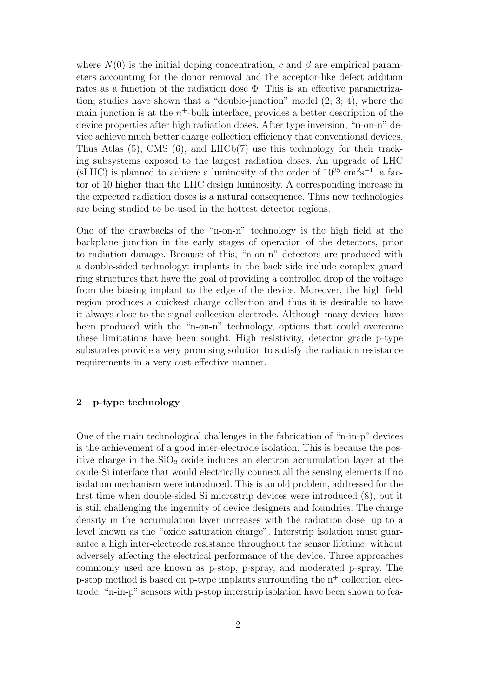where  $N(0)$  is the initial doping concentration, c and  $\beta$  are empirical parameters accounting for the donor removal and the acceptor-like defect addition rates as a function of the radiation dose Φ. This is an effective parametrization; studies have shown that a "double-junction" model (2; 3; 4), where the main junction is at the  $n^+$ -bulk interface, provides a better description of the device properties after high radiation doses. After type inversion, "n-on-n" device achieve much better charge collection efficiency that conventional devices. Thus Atlas (5), CMS (6), and LHCb(7) use this technology for their tracking subsystems exposed to the largest radiation doses. An upgrade of LHC  $(sLHC)$  is planned to achieve a luminosity of the order of  $10^{35}$  cm<sup>2</sup>s<sup>-1</sup>, a factor of 10 higher than the LHC design luminosity. A corresponding increase in the expected radiation doses is a natural consequence. Thus new technologies are being studied to be used in the hottest detector regions.

One of the drawbacks of the "n-on-n" technology is the high field at the backplane junction in the early stages of operation of the detectors, prior to radiation damage. Because of this, "n-on-n" detectors are produced with a double-sided technology: implants in the back side include complex guard ring structures that have the goal of providing a controlled drop of the voltage from the biasing implant to the edge of the device. Moreover, the high field region produces a quickest charge collection and thus it is desirable to have it always close to the signal collection electrode. Although many devices have been produced with the "n-on-n" technology, options that could overcome these limitations have been sought. High resistivity, detector grade p-type substrates provide a very promising solution to satisfy the radiation resistance requirements in a very cost effective manner.

## 2 p-type technology

One of the main technological challenges in the fabrication of "n-in-p" devices is the achievement of a good inter-electrode isolation. This is because the positive charge in the  $SiO<sub>2</sub>$  oxide induces an electron accumulation layer at the oxide-Si interface that would electrically connect all the sensing elements if no isolation mechanism were introduced. This is an old problem, addressed for the first time when double-sided Si microstrip devices were introduced (8), but it is still challenging the ingenuity of device designers and foundries. The charge density in the accumulation layer increases with the radiation dose, up to a level known as the "oxide saturation charge". Interstrip isolation must guarantee a high inter-electrode resistance throughout the sensor lifetime, without adversely affecting the electrical performance of the device. Three approaches commonly used are known as p-stop, p-spray, and moderated p-spray. The p-stop method is based on p-type implants surrounding the  $n^+$  collection electrode. "n-in-p" sensors with p-stop interstrip isolation have been shown to fea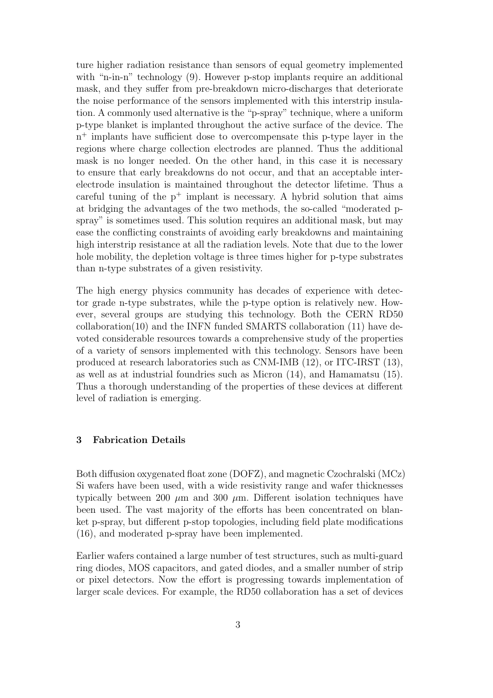ture higher radiation resistance than sensors of equal geometry implemented with "n-in-n" technology (9). However p-stop implants require an additional mask, and they suffer from pre-breakdown micro-discharges that deteriorate the noise performance of the sensors implemented with this interstrip insulation. A commonly used alternative is the "p-spray" technique, where a uniform p-type blanket is implanted throughout the active surface of the device. The n <sup>+</sup> implants have sufficient dose to overcompensate this p-type layer in the regions where charge collection electrodes are planned. Thus the additional mask is no longer needed. On the other hand, in this case it is necessary to ensure that early breakdowns do not occur, and that an acceptable interelectrode insulation is maintained throughout the detector lifetime. Thus a careful tuning of the  $p^+$  implant is necessary. A hybrid solution that aims at bridging the advantages of the two methods, the so-called "moderated pspray" is sometimes used. This solution requires an additional mask, but may ease the conflicting constraints of avoiding early breakdowns and maintaining high interstrip resistance at all the radiation levels. Note that due to the lower hole mobility, the depletion voltage is three times higher for p-type substrates than n-type substrates of a given resistivity.

The high energy physics community has decades of experience with detector grade n-type substrates, while the p-type option is relatively new. However, several groups are studying this technology. Both the CERN RD50 collaboration(10) and the INFN funded SMARTS collaboration (11) have devoted considerable resources towards a comprehensive study of the properties of a variety of sensors implemented with this technology. Sensors have been produced at research laboratories such as CNM-IMB (12), or ITC-IRST (13), as well as at industrial foundries such as Micron (14), and Hamamatsu (15). Thus a thorough understanding of the properties of these devices at different level of radiation is emerging.

## 3 Fabrication Details

Both diffusion oxygenated float zone (DOFZ), and magnetic Czochralski (MCz) Si wafers have been used, with a wide resistivity range and wafer thicknesses typically between 200  $\mu$ m and 300  $\mu$ m. Different isolation techniques have been used. The vast majority of the efforts has been concentrated on blanket p-spray, but different p-stop topologies, including field plate modifications (16), and moderated p-spray have been implemented.

Earlier wafers contained a large number of test structures, such as multi-guard ring diodes, MOS capacitors, and gated diodes, and a smaller number of strip or pixel detectors. Now the effort is progressing towards implementation of larger scale devices. For example, the RD50 collaboration has a set of devices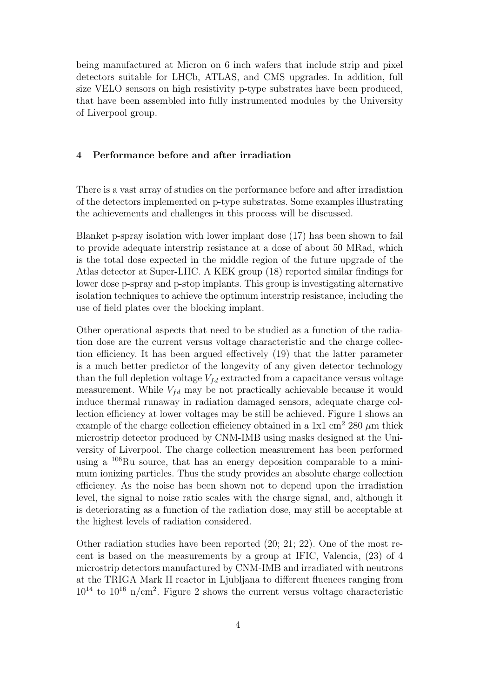being manufactured at Micron on 6 inch wafers that include strip and pixel detectors suitable for LHCb, ATLAS, and CMS upgrades. In addition, full size VELO sensors on high resistivity p-type substrates have been produced, that have been assembled into fully instrumented modules by the University of Liverpool group.

### 4 Performance before and after irradiation

There is a vast array of studies on the performance before and after irradiation of the detectors implemented on p-type substrates. Some examples illustrating the achievements and challenges in this process will be discussed.

Blanket p-spray isolation with lower implant dose (17) has been shown to fail to provide adequate interstrip resistance at a dose of about 50 MRad, which is the total dose expected in the middle region of the future upgrade of the Atlas detector at Super-LHC. A KEK group (18) reported similar findings for lower dose p-spray and p-stop implants. This group is investigating alternative isolation techniques to achieve the optimum interstrip resistance, including the use of field plates over the blocking implant.

Other operational aspects that need to be studied as a function of the radiation dose are the current versus voltage characteristic and the charge collection efficiency. It has been argued effectively (19) that the latter parameter is a much better predictor of the longevity of any given detector technology than the full depletion voltage  $V_{fd}$  extracted from a capacitance versus voltage measurement. While  $V_{fd}$  may be not practically achievable because it would induce thermal runaway in radiation damaged sensors, adequate charge collection efficiency at lower voltages may be still be achieved. Figure 1 shows an example of the charge collection efficiency obtained in a 1x1 cm<sup>2</sup> 280  $\mu$ m thick microstrip detector produced by CNM-IMB using masks designed at the University of Liverpool. The charge collection measurement has been performed using a  $^{106}$ Ru source, that has an energy deposition comparable to a minimum ionizing particles. Thus the study provides an absolute charge collection efficiency. As the noise has been shown not to depend upon the irradiation level, the signal to noise ratio scales with the charge signal, and, although it is deteriorating as a function of the radiation dose, may still be acceptable at the highest levels of radiation considered.

Other radiation studies have been reported (20; 21; 22). One of the most recent is based on the measurements by a group at IFIC, Valencia, (23) of 4 microstrip detectors manufactured by CNM-IMB and irradiated with neutrons at the TRIGA Mark II reactor in Ljubljana to different fluences ranging from  $10^{14}$  to  $10^{16}$  n/cm<sup>2</sup>. Figure 2 shows the current versus voltage characteristic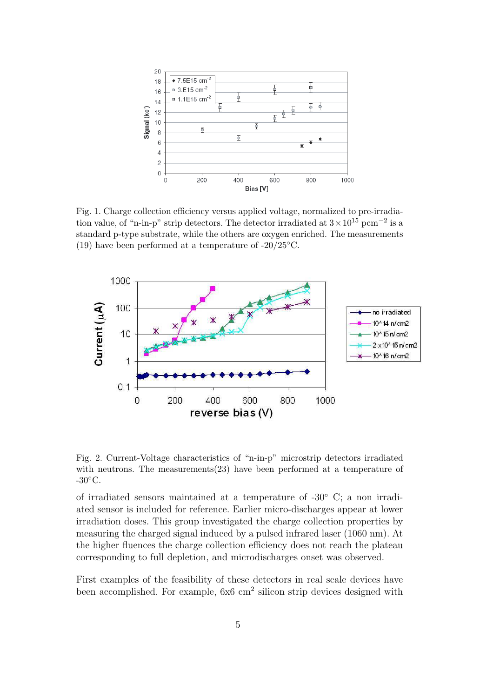

Fig. 1. Charge collection efficiency versus applied voltage, normalized to pre-irradiation value, of "n-in-p" strip detectors. The detector irradiated at  $3 \times 10^{15} \text{ pcm}^{-2}$  is a standard p-type substrate, while the others are oxygen enriched. The measurements (19) have been performed at a temperature of  $-20/25$ °C.



Fig. 2. Current-Voltage characteristics of "n-in-p" microstrip detectors irradiated with neutrons. The measurements $(23)$  have been performed at a temperature of  $-30^{\circ}$ C.

of irradiated sensors maintained at a temperature of -30◦ C; a non irradiated sensor is included for reference. Earlier micro-discharges appear at lower irradiation doses. This group investigated the charge collection properties by measuring the charged signal induced by a pulsed infrared laser (1060 nm). At the higher fluences the charge collection efficiency does not reach the plateau corresponding to full depletion, and microdischarges onset was observed.

First examples of the feasibility of these detectors in real scale devices have been accomplished. For example,  $6x6 \text{ cm}^2$  silicon strip devices designed with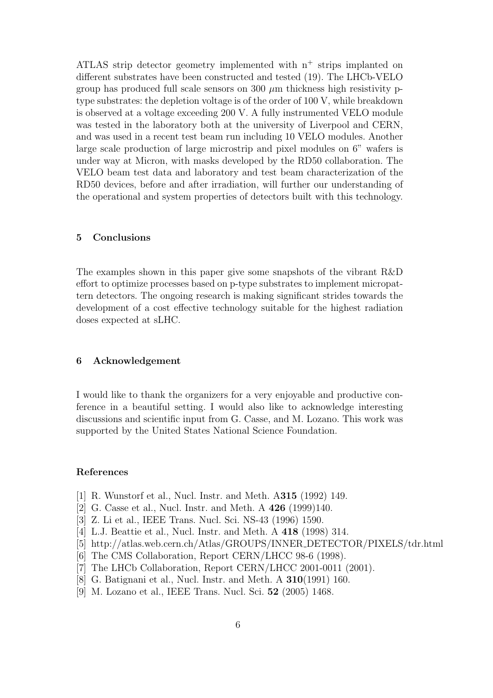ATLAS strip detector geometry implemented with  $n^+$  strips implanted on different substrates have been constructed and tested (19). The LHCb-VELO group has produced full scale sensors on  $300 \mu m$  thickness high resistivity ptype substrates: the depletion voltage is of the order of 100 V, while breakdown is observed at a voltage exceeding 200 V. A fully instrumented VELO module was tested in the laboratory both at the university of Liverpool and CERN, and was used in a recent test beam run including 10 VELO modules. Another large scale production of large microstrip and pixel modules on 6" wafers is under way at Micron, with masks developed by the RD50 collaboration. The VELO beam test data and laboratory and test beam characterization of the RD50 devices, before and after irradiation, will further our understanding of the operational and system properties of detectors built with this technology.

### 5 Conclusions

The examples shown in this paper give some snapshots of the vibrant R&D effort to optimize processes based on p-type substrates to implement micropattern detectors. The ongoing research is making significant strides towards the development of a cost effective technology suitable for the highest radiation doses expected at sLHC.

## 6 Acknowledgement

I would like to thank the organizers for a very enjoyable and productive conference in a beautiful setting. I would also like to acknowledge interesting discussions and scientific input from G. Casse, and M. Lozano. This work was supported by the United States National Science Foundation.

#### References

- [1] R. Wunstorf et al., Nucl. Instr. and Meth. A315 (1992) 149.
- [2] G. Casse et al., Nucl. Instr. and Meth. A 426 (1999)140.
- [3] Z. Li et al., IEEE Trans. Nucl. Sci. NS-43 (1996) 1590.
- [4] L.J. Beattie et al., Nucl. Instr. and Meth. A 418 (1998) 314.
- [5] http://atlas.web.cern.ch/Atlas/GROUPS/INNER DETECTOR/PIXELS/tdr.html
- [6] The CMS Collaboration, Report CERN/LHCC 98-6 (1998).
- [7] The LHCb Collaboration, Report CERN/LHCC 2001-0011 (2001).
- [8] G. Batignani et al., Nucl. Instr. and Meth. A 310(1991) 160.
- [9] M. Lozano et al., IEEE Trans. Nucl. Sci. 52 (2005) 1468.